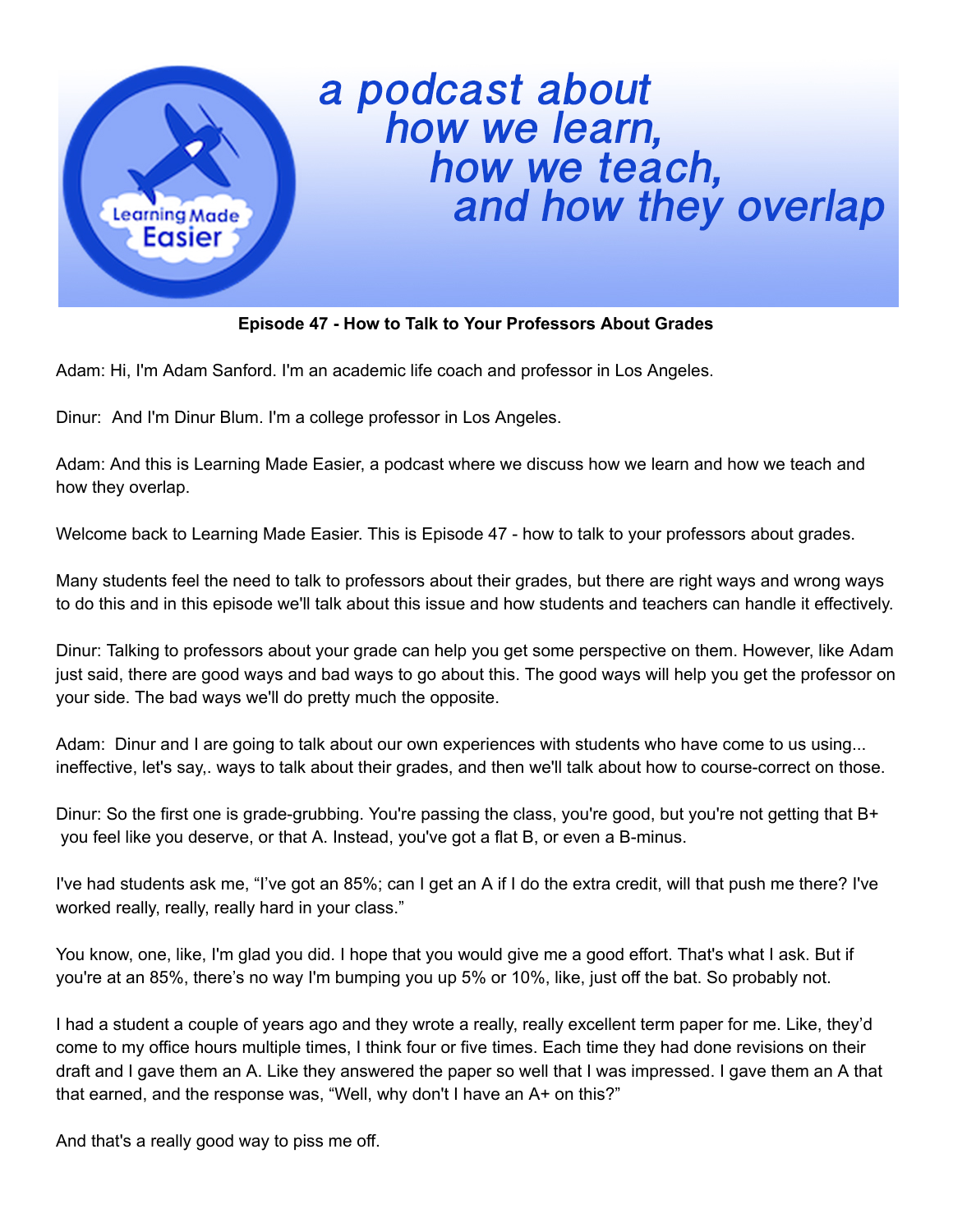

## a podcast about<br>how we learn,<br>how we teach,<br>and how they overlap

## **Episode 47 - How to Talk to Your Professors About Grades**

Adam: Hi, I'm Adam Sanford. I'm an academic life coach and professor in Los Angeles.

Dinur: And I'm Dinur Blum. I'm a college professor in Los Angeles.

Adam: And this is Learning Made Easier, a podcast where we discuss how we learn and how we teach and how they overlap.

Welcome back to Learning Made Easier. This is Episode 47 - how to talk to your professors about grades.

Many students feel the need to talk to professors about their grades, but there are right ways and wrong ways to do this and in this episode we'll talk about this issue and how students and teachers can handle it effectively.

Dinur: Talking to professors about your grade can help you get some perspective on them. However, like Adam just said, there are good ways and bad ways to go about this. The good ways will help you get the professor on your side. The bad ways we'll do pretty much the opposite.

Adam: Dinur and I are going to talk about our own experiences with students who have come to us using... ineffective, let's say,. ways to talk about their grades, and then we'll talk about how to course-correct on those.

Dinur: So the first one is grade-grubbing. You're passing the class, you're good, but you're not getting that B+ you feel like you deserve, or that A. Instead, you've got a flat B, or even a B-minus.

I've had students ask me, "I've got an 85%; can I get an A if I do the extra credit, will that push me there? I've worked really, really, really hard in your class."

You know, one, like, I'm glad you did. I hope that you would give me a good effort. That's what I ask. But if you're at an 85%, there's no way I'm bumping you up 5% or 10%, like, just off the bat. So probably not.

I had a student a couple of years ago and they wrote a really, really excellent term paper for me. Like, they'd come to my office hours multiple times, I think four or five times. Each time they had done revisions on their draft and I gave them an A. Like they answered the paper so well that I was impressed. I gave them an A that that earned, and the response was, "Well, why don't I have an A+ on this?"

And that's a really good way to piss me off.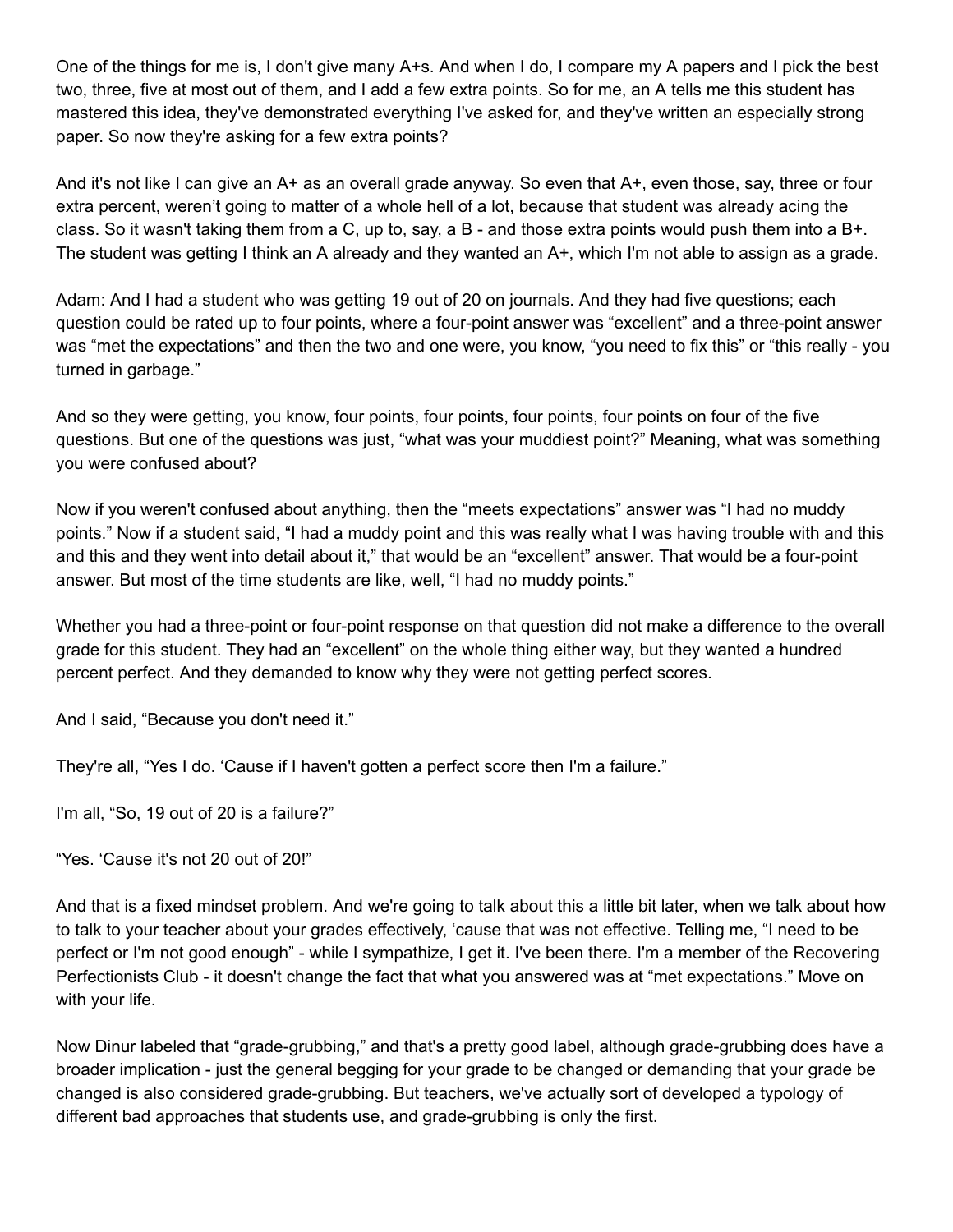One of the things for me is, I don't give many A+s. And when I do, I compare my A papers and I pick the best two, three, five at most out of them, and I add a few extra points. So for me, an A tells me this student has mastered this idea, they've demonstrated everything I've asked for, and they've written an especially strong paper. So now they're asking for a few extra points?

And it's not like I can give an A+ as an overall grade anyway. So even that A+, even those, say, three or four extra percent, weren't going to matter of a whole hell of a lot, because that student was already acing the class. So it wasn't taking them from a C, up to, say, a B - and those extra points would push them into a B+. The student was getting I think an A already and they wanted an A+, which I'm not able to assign as a grade.

Adam: And I had a student who was getting 19 out of 20 on journals. And they had five questions; each question could be rated up to four points, where a four-point answer was "excellent" and a three-point answer was "met the expectations" and then the two and one were, you know, "you need to fix this" or "this really - you turned in garbage."

And so they were getting, you know, four points, four points, four points, four points on four of the five questions. But one of the questions was just, "what was your muddiest point?" Meaning, what was something you were confused about?

Now if you weren't confused about anything, then the "meets expectations" answer was "I had no muddy points." Now if a student said, "I had a muddy point and this was really what I was having trouble with and this and this and they went into detail about it," that would be an "excellent" answer. That would be a four-point answer. But most of the time students are like, well, "I had no muddy points."

Whether you had a three-point or four-point response on that question did not make a difference to the overall grade for this student. They had an "excellent" on the whole thing either way, but they wanted a hundred percent perfect. And they demanded to know why they were not getting perfect scores.

And I said, "Because you don't need it."

They're all, "Yes I do. 'Cause if I haven't gotten a perfect score then I'm a failure."

I'm all, "So, 19 out of 20 is a failure?"

"Yes. 'Cause it's not 20 out of 20!"

And that is a fixed mindset problem. And we're going to talk about this a little bit later, when we talk about how to talk to your teacher about your grades effectively, 'cause that was not effective. Telling me, "I need to be perfect or I'm not good enough" - while I sympathize, I get it. I've been there. I'm a member of the Recovering Perfectionists Club - it doesn't change the fact that what you answered was at "met expectations." Move on with your life.

Now Dinur labeled that "grade-grubbing," and that's a pretty good label, although grade-grubbing does have a broader implication - just the general begging for your grade to be changed or demanding that your grade be changed is also considered grade-grubbing. But teachers, we've actually sort of developed a typology of different bad approaches that students use, and grade-grubbing is only the first.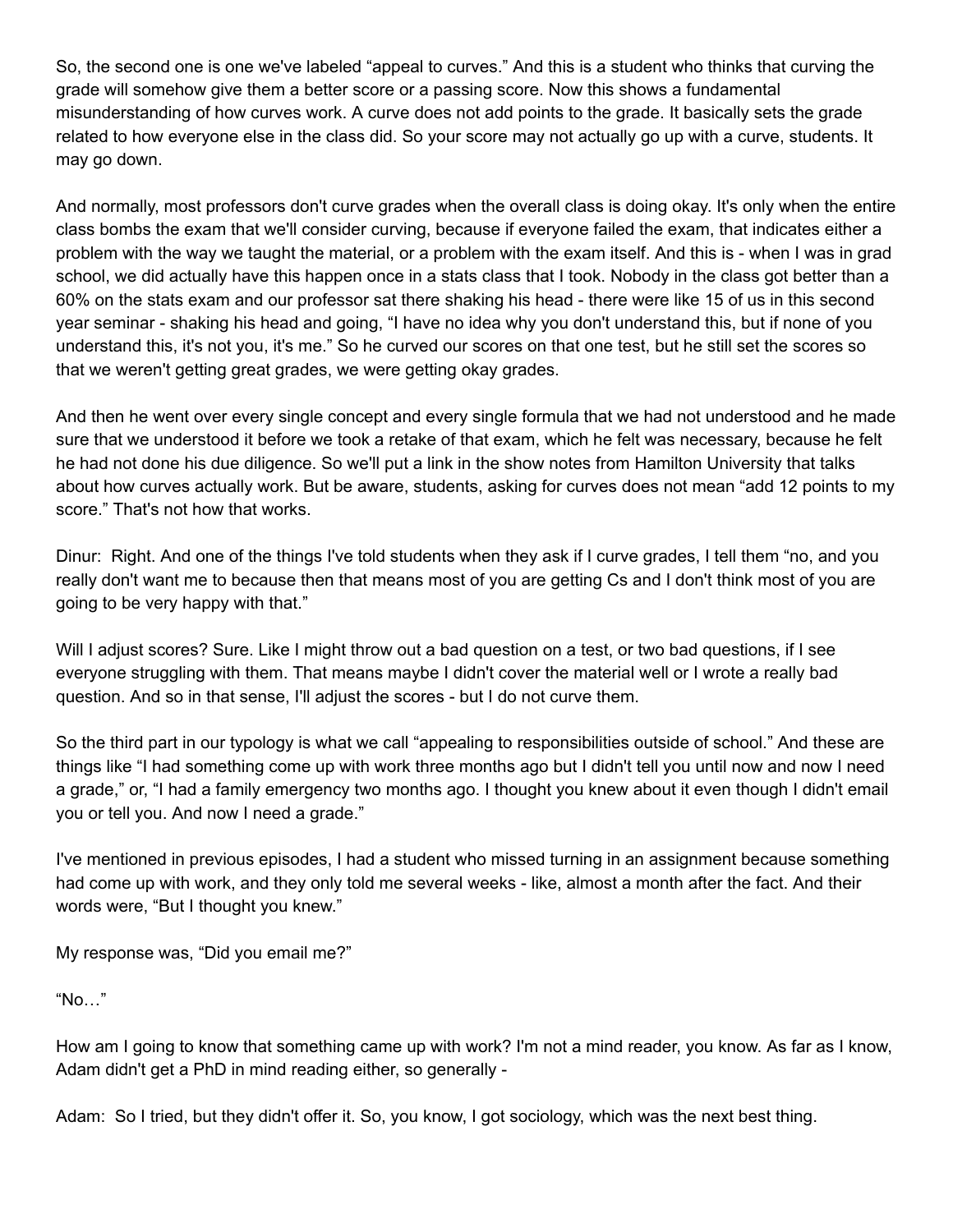So, the second one is one we've labeled "appeal to curves." And this is a student who thinks that curving the grade will somehow give them a better score or a passing score. Now this shows a fundamental misunderstanding of how curves work. A curve does not add points to the grade. It basically sets the grade related to how everyone else in the class did. So your score may not actually go up with a curve, students. It may go down.

And normally, most professors don't curve grades when the overall class is doing okay. It's only when the entire class bombs the exam that we'll consider curving, because if everyone failed the exam, that indicates either a problem with the way we taught the material, or a problem with the exam itself. And this is - when I was in grad school, we did actually have this happen once in a stats class that I took. Nobody in the class got better than a 60% on the stats exam and our professor sat there shaking his head - there were like 15 of us in this second year seminar - shaking his head and going, "I have no idea why you don't understand this, but if none of you understand this, it's not you, it's me." So he curved our scores on that one test, but he still set the scores so that we weren't getting great grades, we were getting okay grades.

And then he went over every single concept and every single formula that we had not understood and he made sure that we understood it before we took a retake of that exam, which he felt was necessary, because he felt he had not done his due diligence. So we'll put a link in the show notes from Hamilton University that talks about how curves actually work. But be aware, students, asking for curves does not mean "add 12 points to my score." That's not how that works.

Dinur: Right. And one of the things I've told students when they ask if I curve grades, I tell them "no, and you really don't want me to because then that means most of you are getting Cs and I don't think most of you are going to be very happy with that."

Will I adjust scores? Sure. Like I might throw out a bad question on a test, or two bad questions, if I see everyone struggling with them. That means maybe I didn't cover the material well or I wrote a really bad question. And so in that sense, I'll adjust the scores - but I do not curve them.

So the third part in our typology is what we call "appealing to responsibilities outside of school." And these are things like "I had something come up with work three months ago but I didn't tell you until now and now I need a grade," or, "I had a family emergency two months ago. I thought you knew about it even though I didn't email you or tell you. And now I need a grade."

I've mentioned in previous episodes, I had a student who missed turning in an assignment because something had come up with work, and they only told me several weeks - like, almost a month after the fact. And their words were, "But I thought you knew."

My response was, "Did you email me?"

"No…"

How am I going to know that something came up with work? I'm not a mind reader, you know. As far as I know, Adam didn't get a PhD in mind reading either, so generally -

Adam: So I tried, but they didn't offer it. So, you know, I got sociology, which was the next best thing.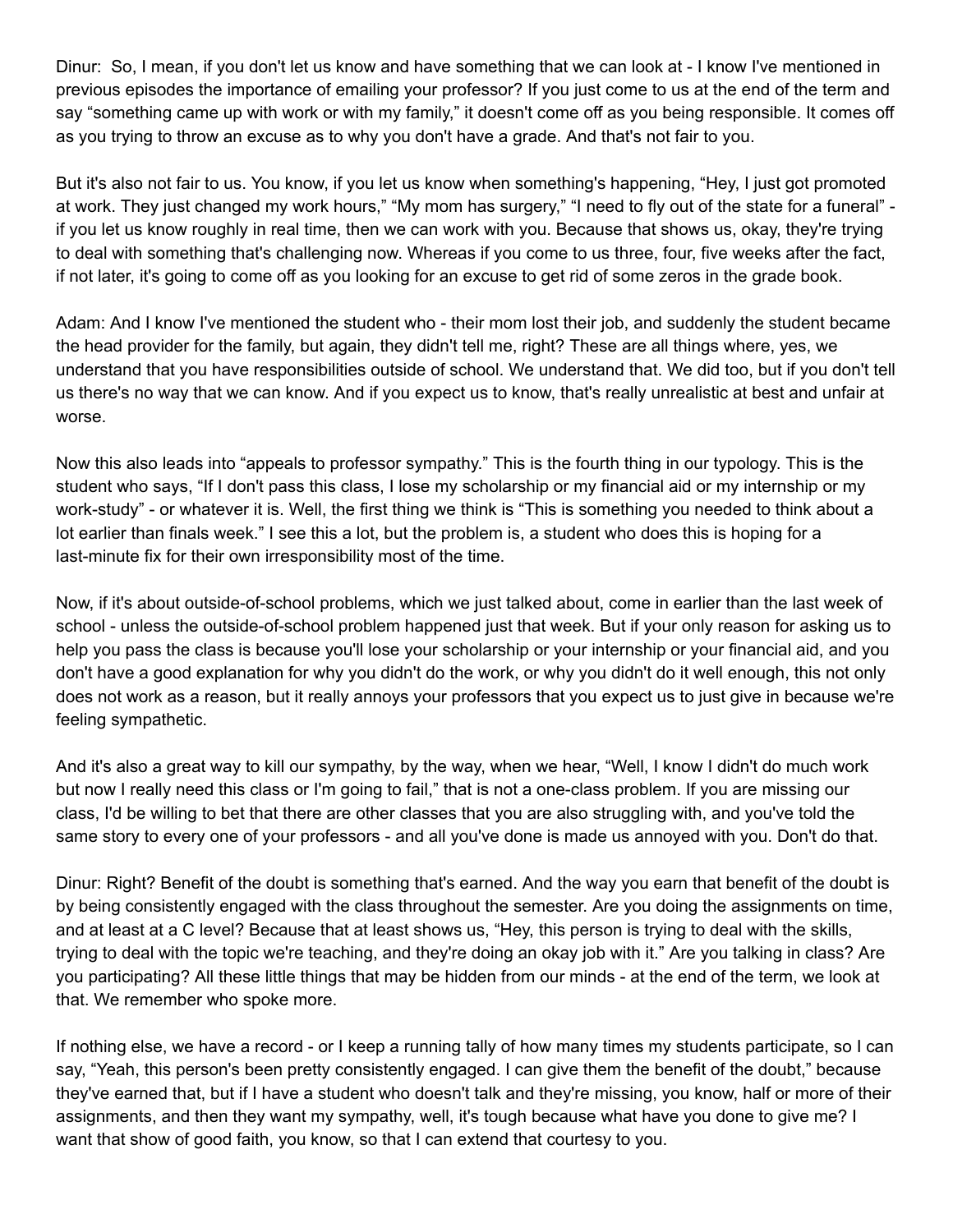Dinur: So, I mean, if you don't let us know and have something that we can look at - I know I've mentioned in previous episodes the importance of emailing your professor? If you just come to us at the end of the term and say "something came up with work or with my family," it doesn't come off as you being responsible. It comes off as you trying to throw an excuse as to why you don't have a grade. And that's not fair to you.

But it's also not fair to us. You know, if you let us know when something's happening, "Hey, I just got promoted at work. They just changed my work hours," "My mom has surgery," "I need to fly out of the state for a funeral" if you let us know roughly in real time, then we can work with you. Because that shows us, okay, they're trying to deal with something that's challenging now. Whereas if you come to us three, four, five weeks after the fact, if not later, it's going to come off as you looking for an excuse to get rid of some zeros in the grade book.

Adam: And I know I've mentioned the student who - their mom lost their job, and suddenly the student became the head provider for the family, but again, they didn't tell me, right? These are all things where, yes, we understand that you have responsibilities outside of school. We understand that. We did too, but if you don't tell us there's no way that we can know. And if you expect us to know, that's really unrealistic at best and unfair at worse.

Now this also leads into "appeals to professor sympathy." This is the fourth thing in our typology. This is the student who says, "If I don't pass this class, I lose my scholarship or my financial aid or my internship or my work-study" - or whatever it is. Well, the first thing we think is "This is something you needed to think about a lot earlier than finals week." I see this a lot, but the problem is, a student who does this is hoping for a last-minute fix for their own irresponsibility most of the time.

Now, if it's about outside-of-school problems, which we just talked about, come in earlier than the last week of school - unless the outside-of-school problem happened just that week. But if your only reason for asking us to help you pass the class is because you'll lose your scholarship or your internship or your financial aid, and you don't have a good explanation for why you didn't do the work, or why you didn't do it well enough, this not only does not work as a reason, but it really annoys your professors that you expect us to just give in because we're feeling sympathetic.

And it's also a great way to kill our sympathy, by the way, when we hear, "Well, I know I didn't do much work but now I really need this class or I'm going to fail," that is not a one-class problem. If you are missing our class, I'd be willing to bet that there are other classes that you are also struggling with, and you've told the same story to every one of your professors - and all you've done is made us annoyed with you. Don't do that.

Dinur: Right? Benefit of the doubt is something that's earned. And the way you earn that benefit of the doubt is by being consistently engaged with the class throughout the semester. Are you doing the assignments on time, and at least at a C level? Because that at least shows us, "Hey, this person is trying to deal with the skills, trying to deal with the topic we're teaching, and they're doing an okay job with it." Are you talking in class? Are you participating? All these little things that may be hidden from our minds - at the end of the term, we look at that. We remember who spoke more.

If nothing else, we have a record - or I keep a running tally of how many times my students participate, so I can say, "Yeah, this person's been pretty consistently engaged. I can give them the benefit of the doubt," because they've earned that, but if I have a student who doesn't talk and they're missing, you know, half or more of their assignments, and then they want my sympathy, well, it's tough because what have you done to give me? I want that show of good faith, you know, so that I can extend that courtesy to you.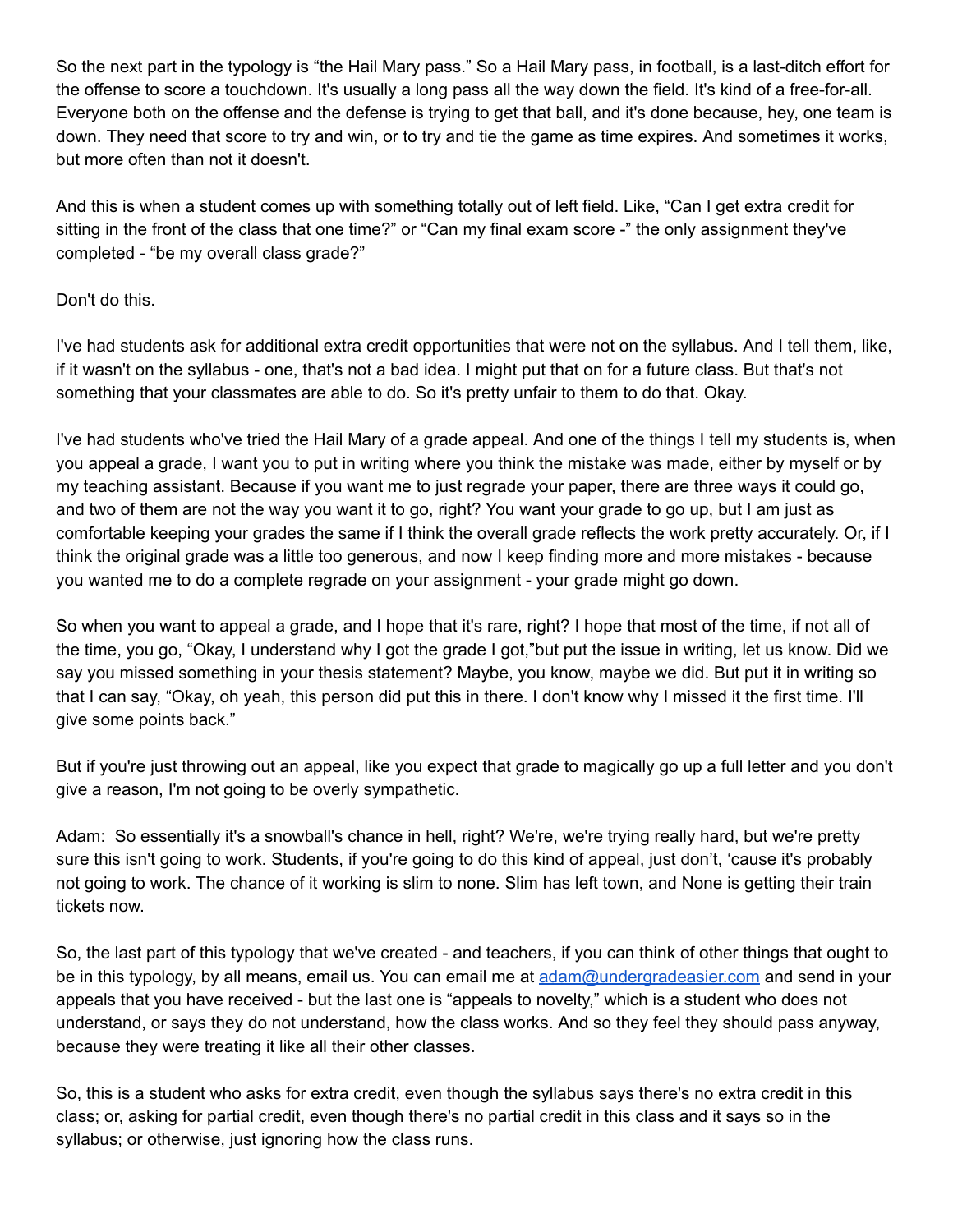So the next part in the typology is "the Hail Mary pass." So a Hail Mary pass, in football, is a last-ditch effort for the offense to score a touchdown. It's usually a long pass all the way down the field. It's kind of a free-for-all. Everyone both on the offense and the defense is trying to get that ball, and it's done because, hey, one team is down. They need that score to try and win, or to try and tie the game as time expires. And sometimes it works, but more often than not it doesn't.

And this is when a student comes up with something totally out of left field. Like, "Can I get extra credit for sitting in the front of the class that one time?" or "Can my final exam score -" the only assignment they've completed - "be my overall class grade?"

## Don't do this.

I've had students ask for additional extra credit opportunities that were not on the syllabus. And I tell them, like, if it wasn't on the syllabus - one, that's not a bad idea. I might put that on for a future class. But that's not something that your classmates are able to do. So it's pretty unfair to them to do that. Okay.

I've had students who've tried the Hail Mary of a grade appeal. And one of the things I tell my students is, when you appeal a grade, I want you to put in writing where you think the mistake was made, either by myself or by my teaching assistant. Because if you want me to just regrade your paper, there are three ways it could go, and two of them are not the way you want it to go, right? You want your grade to go up, but I am just as comfortable keeping your grades the same if I think the overall grade reflects the work pretty accurately. Or, if I think the original grade was a little too generous, and now I keep finding more and more mistakes - because you wanted me to do a complete regrade on your assignment - your grade might go down.

So when you want to appeal a grade, and I hope that it's rare, right? I hope that most of the time, if not all of the time, you go, "Okay, I understand why I got the grade I got,"but put the issue in writing, let us know. Did we say you missed something in your thesis statement? Maybe, you know, maybe we did. But put it in writing so that I can say, "Okay, oh yeah, this person did put this in there. I don't know why I missed it the first time. I'll give some points back."

But if you're just throwing out an appeal, like you expect that grade to magically go up a full letter and you don't give a reason, I'm not going to be overly sympathetic.

Adam: So essentially it's a snowball's chance in hell, right? We're, we're trying really hard, but we're pretty sure this isn't going to work. Students, if you're going to do this kind of appeal, just don't, 'cause it's probably not going to work. The chance of it working is slim to none. Slim has left town, and None is getting their train tickets now.

So, the last part of this typology that we've created - and teachers, if you can think of other things that ought to be in this typology, by all means, email us. You can email me at adam@undergradeasier.com and send in your appeals that you have received - but the last one is "appeals to novelty," which is a student who does not understand, or says they do not understand, how the class works. And so they feel they should pass anyway, because they were treating it like all their other classes.

So, this is a student who asks for extra credit, even though the syllabus says there's no extra credit in this class; or, asking for partial credit, even though there's no partial credit in this class and it says so in the syllabus; or otherwise, just ignoring how the class runs.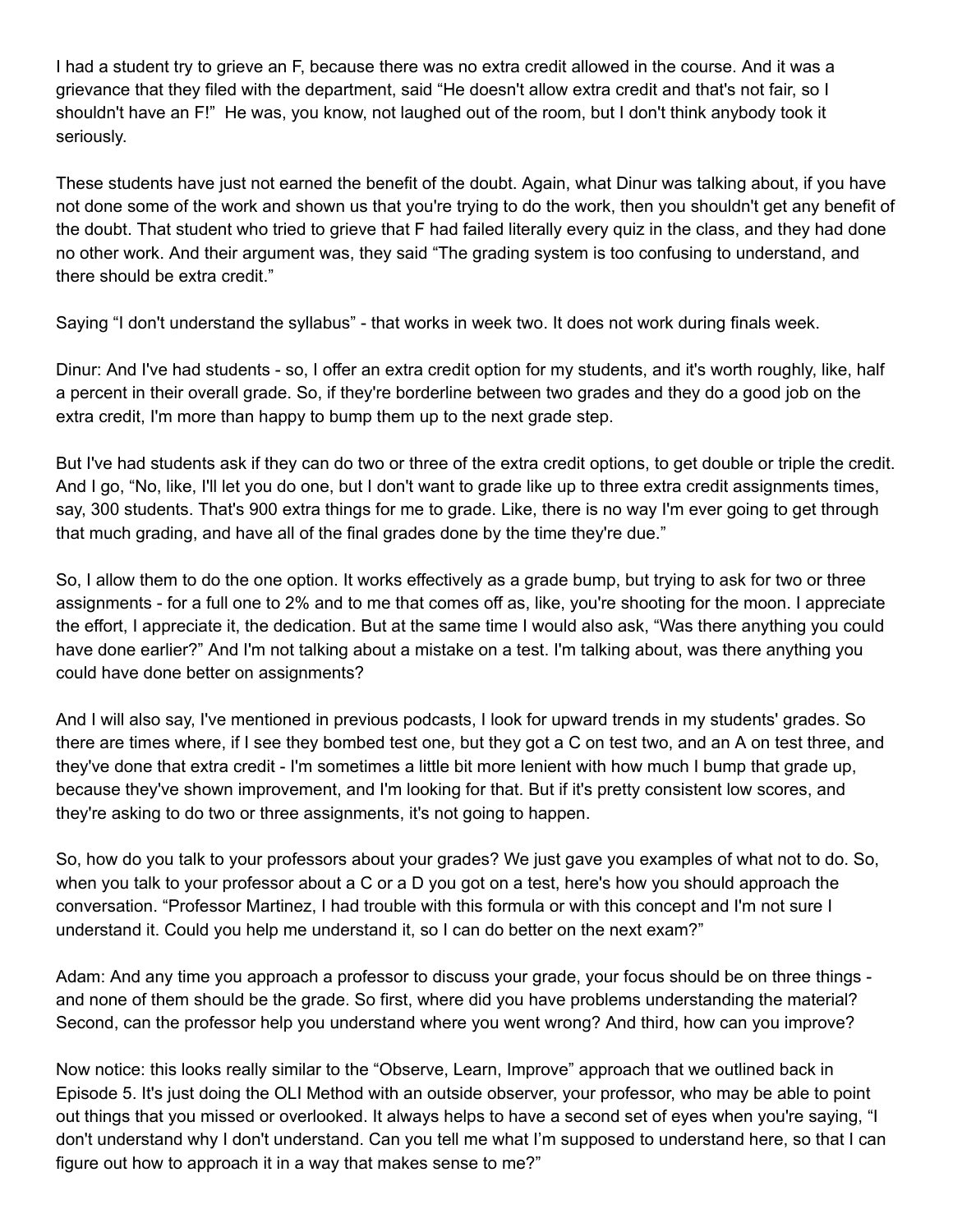I had a student try to grieve an F, because there was no extra credit allowed in the course. And it was a grievance that they filed with the department, said "He doesn't allow extra credit and that's not fair, so I shouldn't have an F!" He was, you know, not laughed out of the room, but I don't think anybody took it seriously.

These students have just not earned the benefit of the doubt. Again, what Dinur was talking about, if you have not done some of the work and shown us that you're trying to do the work, then you shouldn't get any benefit of the doubt. That student who tried to grieve that F had failed literally every quiz in the class, and they had done no other work. And their argument was, they said "The grading system is too confusing to understand, and there should be extra credit."

Saying "I don't understand the syllabus" - that works in week two. It does not work during finals week.

Dinur: And I've had students - so, I offer an extra credit option for my students, and it's worth roughly, like, half a percent in their overall grade. So, if they're borderline between two grades and they do a good job on the extra credit, I'm more than happy to bump them up to the next grade step.

But I've had students ask if they can do two or three of the extra credit options, to get double or triple the credit. And I go, "No, like, I'll let you do one, but I don't want to grade like up to three extra credit assignments times, say, 300 students. That's 900 extra things for me to grade. Like, there is no way I'm ever going to get through that much grading, and have all of the final grades done by the time they're due."

So, I allow them to do the one option. It works effectively as a grade bump, but trying to ask for two or three assignments - for a full one to 2% and to me that comes off as, like, you're shooting for the moon. I appreciate the effort, I appreciate it, the dedication. But at the same time I would also ask, "Was there anything you could have done earlier?" And I'm not talking about a mistake on a test. I'm talking about, was there anything you could have done better on assignments?

And I will also say, I've mentioned in previous podcasts, I look for upward trends in my students' grades. So there are times where, if I see they bombed test one, but they got a C on test two, and an A on test three, and they've done that extra credit - I'm sometimes a little bit more lenient with how much I bump that grade up, because they've shown improvement, and I'm looking for that. But if it's pretty consistent low scores, and they're asking to do two or three assignments, it's not going to happen.

So, how do you talk to your professors about your grades? We just gave you examples of what not to do. So, when you talk to your professor about a C or a D you got on a test, here's how you should approach the conversation. "Professor Martinez, I had trouble with this formula or with this concept and I'm not sure I understand it. Could you help me understand it, so I can do better on the next exam?"

Adam: And any time you approach a professor to discuss your grade, your focus should be on three things and none of them should be the grade. So first, where did you have problems understanding the material? Second, can the professor help you understand where you went wrong? And third, how can you improve?

Now notice: this looks really similar to the "Observe, Learn, Improve" approach that we outlined back in Episode 5. It's just doing the OLI Method with an outside observer, your professor, who may be able to point out things that you missed or overlooked. It always helps to have a second set of eyes when you're saying, "I don't understand why I don't understand. Can you tell me what I'm supposed to understand here, so that I can figure out how to approach it in a way that makes sense to me?"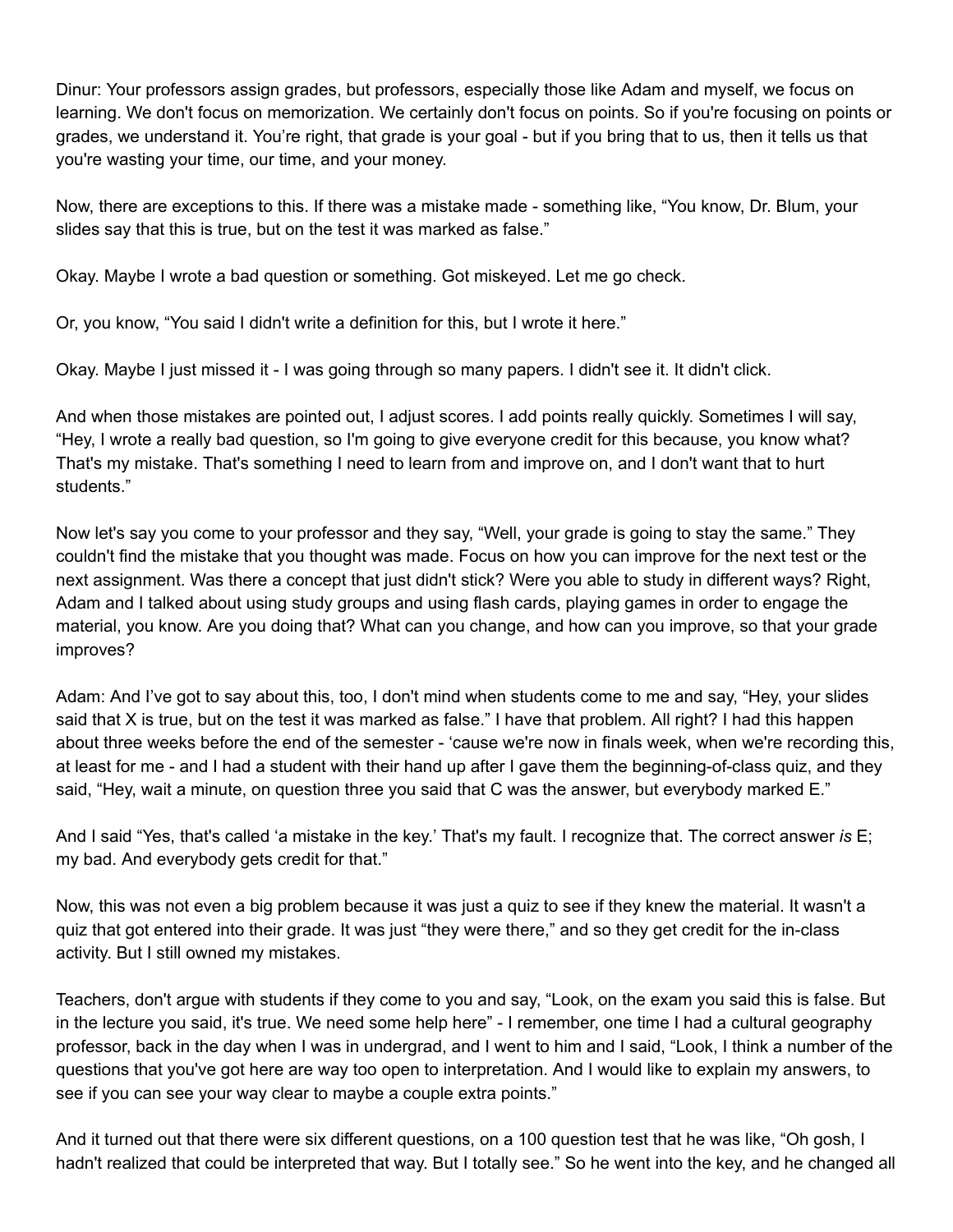Dinur: Your professors assign grades, but professors, especially those like Adam and myself, we focus on learning. We don't focus on memorization. We certainly don't focus on points. So if you're focusing on points or grades, we understand it. You're right, that grade is your goal - but if you bring that to us, then it tells us that you're wasting your time, our time, and your money.

Now, there are exceptions to this. If there was a mistake made - something like, "You know, Dr. Blum, your slides say that this is true, but on the test it was marked as false."

Okay. Maybe I wrote a bad question or something. Got miskeyed. Let me go check.

Or, you know, "You said I didn't write a definition for this, but I wrote it here."

Okay. Maybe I just missed it - I was going through so many papers. I didn't see it. It didn't click.

And when those mistakes are pointed out, I adjust scores. I add points really quickly. Sometimes I will say, "Hey, I wrote a really bad question, so I'm going to give everyone credit for this because, you know what? That's my mistake. That's something I need to learn from and improve on, and I don't want that to hurt students."

Now let's say you come to your professor and they say, "Well, your grade is going to stay the same." They couldn't find the mistake that you thought was made. Focus on how you can improve for the next test or the next assignment. Was there a concept that just didn't stick? Were you able to study in different ways? Right, Adam and I talked about using study groups and using flash cards, playing games in order to engage the material, you know. Are you doing that? What can you change, and how can you improve, so that your grade improves?

Adam: And I've got to say about this, too, I don't mind when students come to me and say, "Hey, your slides said that X is true, but on the test it was marked as false." I have that problem. All right? I had this happen about three weeks before the end of the semester - 'cause we're now in finals week, when we're recording this, at least for me - and I had a student with their hand up after I gave them the beginning-of-class quiz, and they said, "Hey, wait a minute, on question three you said that C was the answer, but everybody marked E."

And I said "Yes, that's called 'a mistake in the key.' That's my fault. I recognize that. The correct answer *is* E; my bad. And everybody gets credit for that."

Now, this was not even a big problem because it was just a quiz to see if they knew the material. It wasn't a quiz that got entered into their grade. It was just "they were there," and so they get credit for the in-class activity. But I still owned my mistakes.

Teachers, don't argue with students if they come to you and say, "Look, on the exam you said this is false. But in the lecture you said, it's true. We need some help here" - I remember, one time I had a cultural geography professor, back in the day when I was in undergrad, and I went to him and I said, "Look, I think a number of the questions that you've got here are way too open to interpretation. And I would like to explain my answers, to see if you can see your way clear to maybe a couple extra points."

And it turned out that there were six different questions, on a 100 question test that he was like, "Oh gosh, I hadn't realized that could be interpreted that way. But I totally see." So he went into the key, and he changed all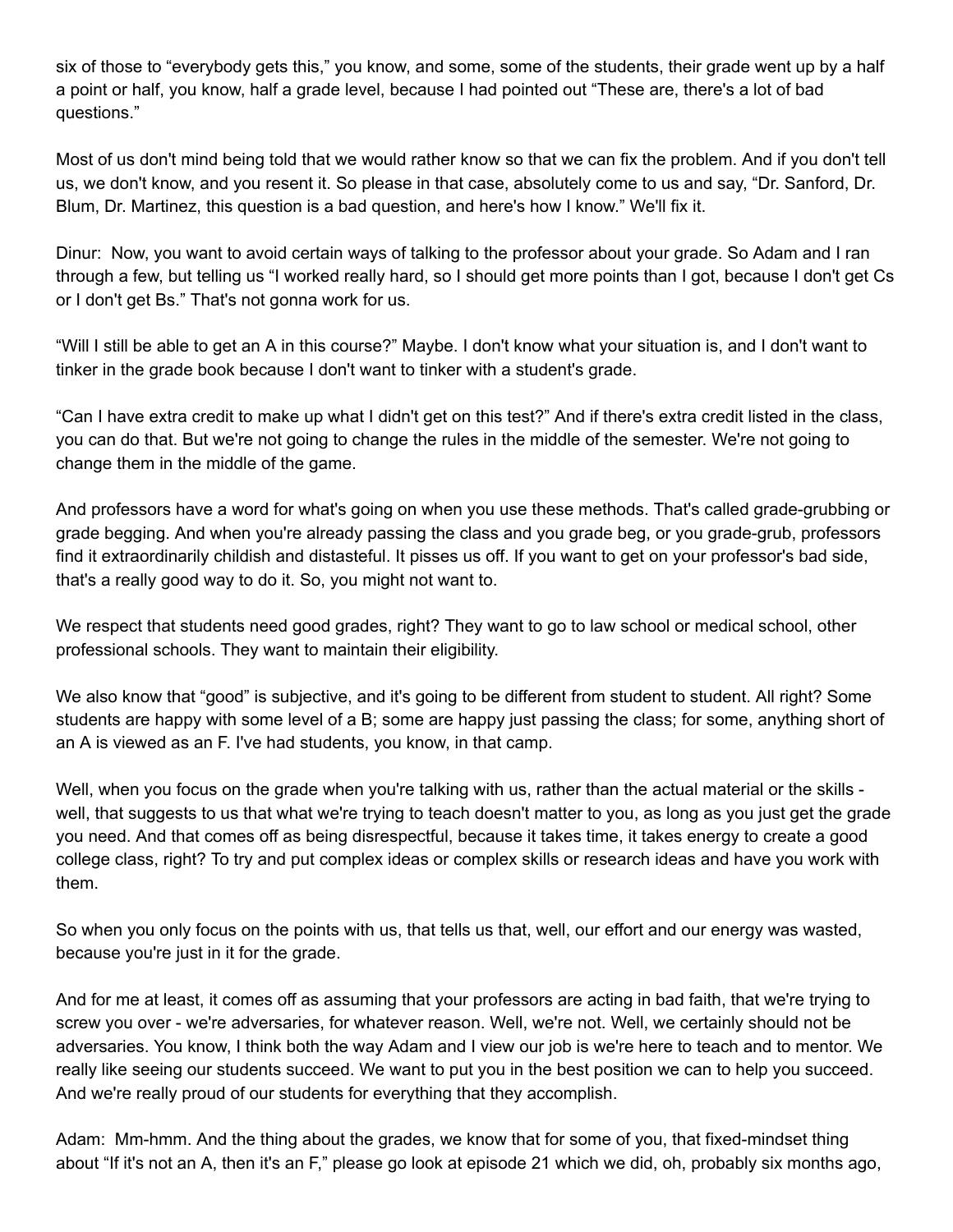six of those to "everybody gets this," you know, and some, some of the students, their grade went up by a half a point or half, you know, half a grade level, because I had pointed out "These are, there's a lot of bad questions."

Most of us don't mind being told that we would rather know so that we can fix the problem. And if you don't tell us, we don't know, and you resent it. So please in that case, absolutely come to us and say, "Dr. Sanford, Dr. Blum, Dr. Martinez, this question is a bad question, and here's how I know." We'll fix it.

Dinur: Now, you want to avoid certain ways of talking to the professor about your grade. So Adam and I ran through a few, but telling us "I worked really hard, so I should get more points than I got, because I don't get Cs or I don't get Bs." That's not gonna work for us.

"Will I still be able to get an A in this course?" Maybe. I don't know what your situation is, and I don't want to tinker in the grade book because I don't want to tinker with a student's grade.

"Can I have extra credit to make up what I didn't get on this test?" And if there's extra credit listed in the class, you can do that. But we're not going to change the rules in the middle of the semester. We're not going to change them in the middle of the game.

And professors have a word for what's going on when you use these methods. That's called grade-grubbing or grade begging. And when you're already passing the class and you grade beg, or you grade-grub, professors find it extraordinarily childish and distasteful. It pisses us off. If you want to get on your professor's bad side, that's a really good way to do it. So, you might not want to.

We respect that students need good grades, right? They want to go to law school or medical school, other professional schools. They want to maintain their eligibility.

We also know that "good" is subjective, and it's going to be different from student to student. All right? Some students are happy with some level of a B; some are happy just passing the class; for some, anything short of an A is viewed as an F. I've had students, you know, in that camp.

Well, when you focus on the grade when you're talking with us, rather than the actual material or the skills well, that suggests to us that what we're trying to teach doesn't matter to you, as long as you just get the grade you need. And that comes off as being disrespectful, because it takes time, it takes energy to create a good college class, right? To try and put complex ideas or complex skills or research ideas and have you work with them.

So when you only focus on the points with us, that tells us that, well, our effort and our energy was wasted, because you're just in it for the grade.

And for me at least, it comes off as assuming that your professors are acting in bad faith, that we're trying to screw you over - we're adversaries, for whatever reason. Well, we're not. Well, we certainly should not be adversaries. You know, I think both the way Adam and I view our job is we're here to teach and to mentor. We really like seeing our students succeed. We want to put you in the best position we can to help you succeed. And we're really proud of our students for everything that they accomplish.

Adam: Mm-hmm. And the thing about the grades, we know that for some of you, that fixed-mindset thing about "If it's not an A, then it's an F," please go look at episode 21 which we did, oh, probably six months ago,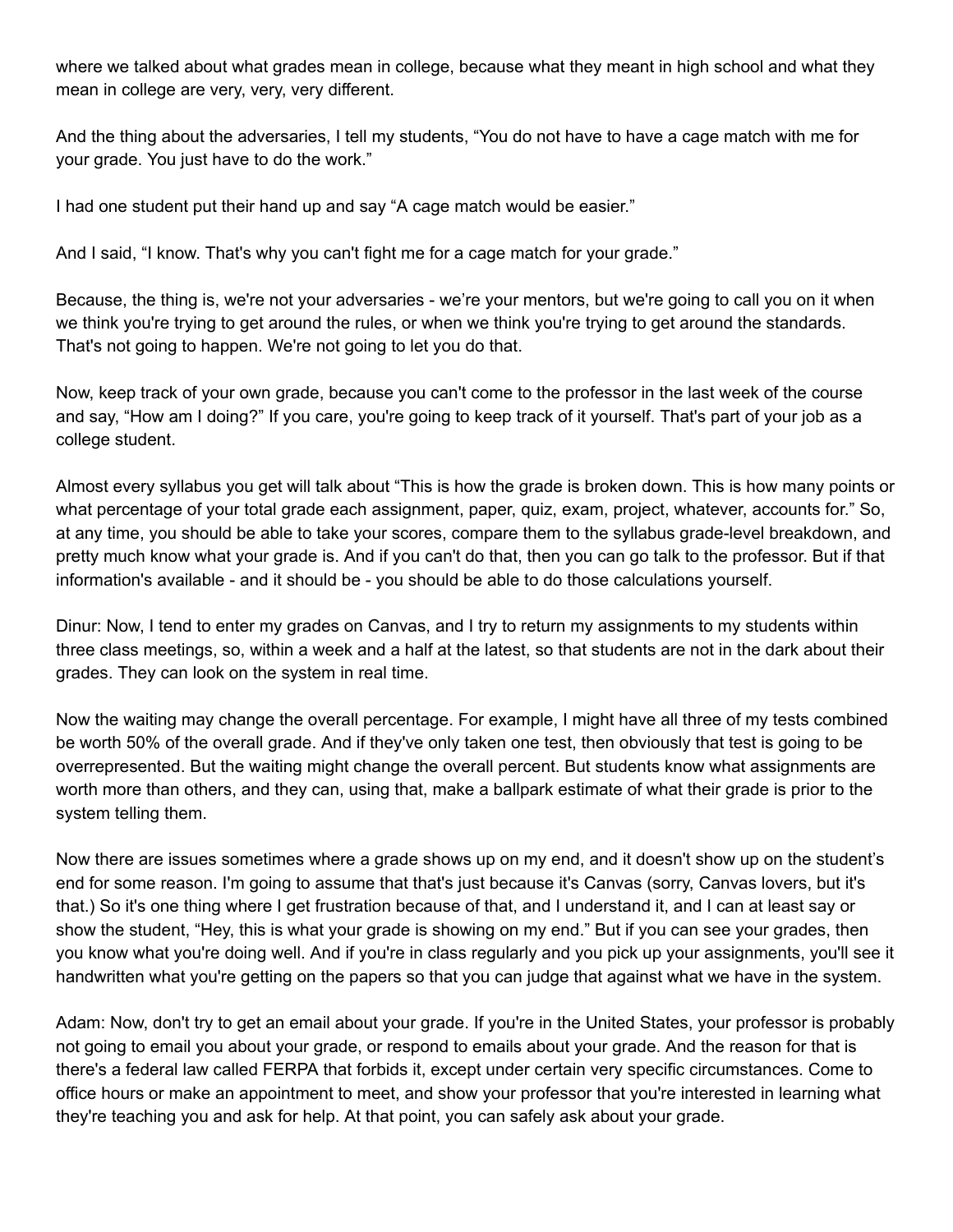where we talked about what grades mean in college, because what they meant in high school and what they mean in college are very, very, very different.

And the thing about the adversaries, I tell my students, "You do not have to have a cage match with me for your grade. You just have to do the work."

I had one student put their hand up and say "A cage match would be easier."

And I said, "I know. That's why you can't fight me for a cage match for your grade."

Because, the thing is, we're not your adversaries - we're your mentors, but we're going to call you on it when we think you're trying to get around the rules, or when we think you're trying to get around the standards. That's not going to happen. We're not going to let you do that.

Now, keep track of your own grade, because you can't come to the professor in the last week of the course and say, "How am I doing?" If you care, you're going to keep track of it yourself. That's part of your job as a college student.

Almost every syllabus you get will talk about "This is how the grade is broken down. This is how many points or what percentage of your total grade each assignment, paper, quiz, exam, project, whatever, accounts for." So, at any time, you should be able to take your scores, compare them to the syllabus grade-level breakdown, and pretty much know what your grade is. And if you can't do that, then you can go talk to the professor. But if that information's available - and it should be - you should be able to do those calculations yourself.

Dinur: Now, I tend to enter my grades on Canvas, and I try to return my assignments to my students within three class meetings, so, within a week and a half at the latest, so that students are not in the dark about their grades. They can look on the system in real time.

Now the waiting may change the overall percentage. For example, I might have all three of my tests combined be worth 50% of the overall grade. And if they've only taken one test, then obviously that test is going to be overrepresented. But the waiting might change the overall percent. But students know what assignments are worth more than others, and they can, using that, make a ballpark estimate of what their grade is prior to the system telling them.

Now there are issues sometimes where a grade shows up on my end, and it doesn't show up on the student's end for some reason. I'm going to assume that that's just because it's Canvas (sorry, Canvas lovers, but it's that.) So it's one thing where I get frustration because of that, and I understand it, and I can at least say or show the student, "Hey, this is what your grade is showing on my end." But if you can see your grades, then you know what you're doing well. And if you're in class regularly and you pick up your assignments, you'll see it handwritten what you're getting on the papers so that you can judge that against what we have in the system.

Adam: Now, don't try to get an email about your grade. If you're in the United States, your professor is probably not going to email you about your grade, or respond to emails about your grade. And the reason for that is there's a federal law called FERPA that forbids it, except under certain very specific circumstances. Come to office hours or make an appointment to meet, and show your professor that you're interested in learning what they're teaching you and ask for help. At that point, you can safely ask about your grade.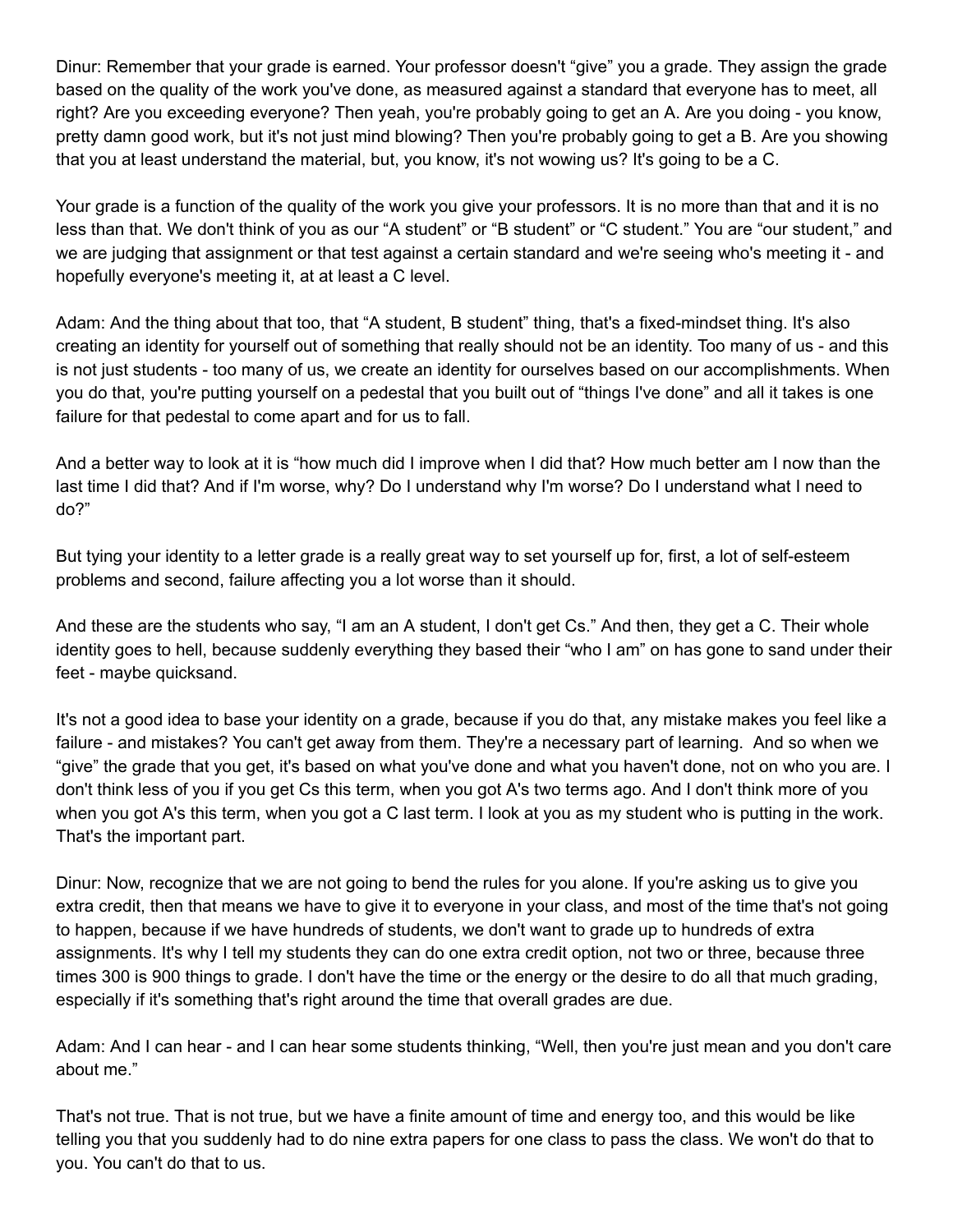Dinur: Remember that your grade is earned. Your professor doesn't "give" you a grade. They assign the grade based on the quality of the work you've done, as measured against a standard that everyone has to meet, all right? Are you exceeding everyone? Then yeah, you're probably going to get an A. Are you doing - you know, pretty damn good work, but it's not just mind blowing? Then you're probably going to get a B. Are you showing that you at least understand the material, but, you know, it's not wowing us? It's going to be a C.

Your grade is a function of the quality of the work you give your professors. It is no more than that and it is no less than that. We don't think of you as our "A student" or "B student" or "C student." You are "our student," and we are judging that assignment or that test against a certain standard and we're seeing who's meeting it - and hopefully everyone's meeting it, at at least a C level.

Adam: And the thing about that too, that "A student, B student" thing, that's a fixed-mindset thing. It's also creating an identity for yourself out of something that really should not be an identity. Too many of us - and this is not just students - too many of us, we create an identity for ourselves based on our accomplishments. When you do that, you're putting yourself on a pedestal that you built out of "things I've done" and all it takes is one failure for that pedestal to come apart and for us to fall.

And a better way to look at it is "how much did I improve when I did that? How much better am I now than the last time I did that? And if I'm worse, why? Do I understand why I'm worse? Do I understand what I need to do?"

But tying your identity to a letter grade is a really great way to set yourself up for, first, a lot of self-esteem problems and second, failure affecting you a lot worse than it should.

And these are the students who say, "I am an A student, I don't get Cs." And then, they get a C. Their whole identity goes to hell, because suddenly everything they based their "who I am" on has gone to sand under their feet - maybe quicksand.

It's not a good idea to base your identity on a grade, because if you do that, any mistake makes you feel like a failure - and mistakes? You can't get away from them. They're a necessary part of learning. And so when we "give" the grade that you get, it's based on what you've done and what you haven't done, not on who you are. I don't think less of you if you get Cs this term, when you got A's two terms ago. And I don't think more of you when you got A's this term, when you got a C last term. I look at you as my student who is putting in the work. That's the important part.

Dinur: Now, recognize that we are not going to bend the rules for you alone. If you're asking us to give you extra credit, then that means we have to give it to everyone in your class, and most of the time that's not going to happen, because if we have hundreds of students, we don't want to grade up to hundreds of extra assignments. It's why I tell my students they can do one extra credit option, not two or three, because three times 300 is 900 things to grade. I don't have the time or the energy or the desire to do all that much grading, especially if it's something that's right around the time that overall grades are due.

Adam: And I can hear - and I can hear some students thinking, "Well, then you're just mean and you don't care about me."

That's not true. That is not true, but we have a finite amount of time and energy too, and this would be like telling you that you suddenly had to do nine extra papers for one class to pass the class. We won't do that to you. You can't do that to us.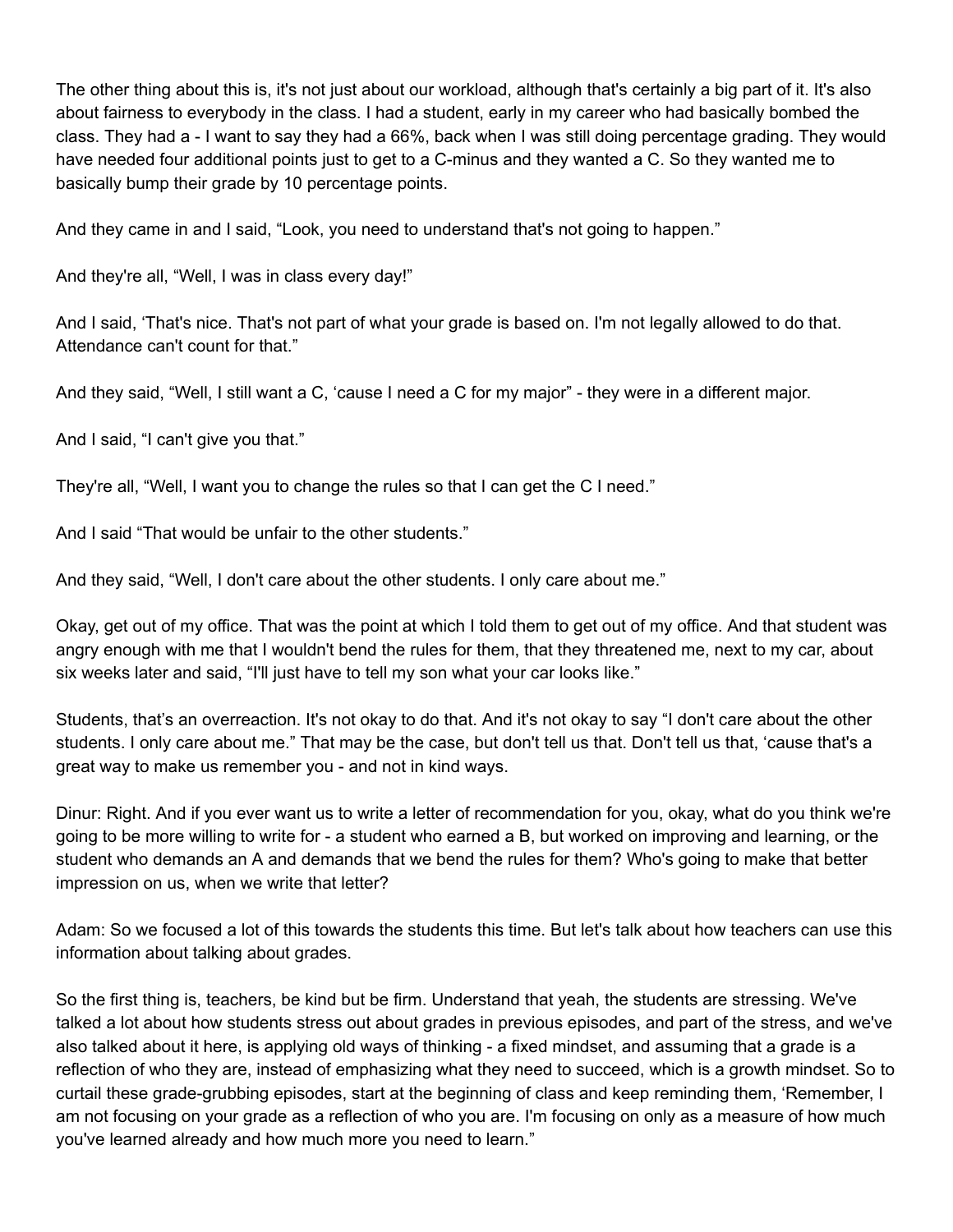The other thing about this is, it's not just about our workload, although that's certainly a big part of it. It's also about fairness to everybody in the class. I had a student, early in my career who had basically bombed the class. They had a - I want to say they had a 66%, back when I was still doing percentage grading. They would have needed four additional points just to get to a C-minus and they wanted a C. So they wanted me to basically bump their grade by 10 percentage points.

And they came in and I said, "Look, you need to understand that's not going to happen."

And they're all, "Well, I was in class every day!"

And I said, 'That's nice. That's not part of what your grade is based on. I'm not legally allowed to do that. Attendance can't count for that."

And they said, "Well, I still want a C, 'cause I need a C for my major" - they were in a different major.

And I said, "I can't give you that."

They're all, "Well, I want you to change the rules so that I can get the C I need."

And I said "That would be unfair to the other students."

And they said, "Well, I don't care about the other students. I only care about me."

Okay, get out of my office. That was the point at which I told them to get out of my office. And that student was angry enough with me that I wouldn't bend the rules for them, that they threatened me, next to my car, about six weeks later and said, "I'll just have to tell my son what your car looks like."

Students, that's an overreaction. It's not okay to do that. And it's not okay to say "I don't care about the other students. I only care about me." That may be the case, but don't tell us that. Don't tell us that, 'cause that's a great way to make us remember you - and not in kind ways.

Dinur: Right. And if you ever want us to write a letter of recommendation for you, okay, what do you think we're going to be more willing to write for - a student who earned a B, but worked on improving and learning, or the student who demands an A and demands that we bend the rules for them? Who's going to make that better impression on us, when we write that letter?

Adam: So we focused a lot of this towards the students this time. But let's talk about how teachers can use this information about talking about grades.

So the first thing is, teachers, be kind but be firm. Understand that yeah, the students are stressing. We've talked a lot about how students stress out about grades in previous episodes, and part of the stress, and we've also talked about it here, is applying old ways of thinking - a fixed mindset, and assuming that a grade is a reflection of who they are, instead of emphasizing what they need to succeed, which is a growth mindset. So to curtail these grade-grubbing episodes, start at the beginning of class and keep reminding them, 'Remember, I am not focusing on your grade as a reflection of who you are. I'm focusing on only as a measure of how much you've learned already and how much more you need to learn."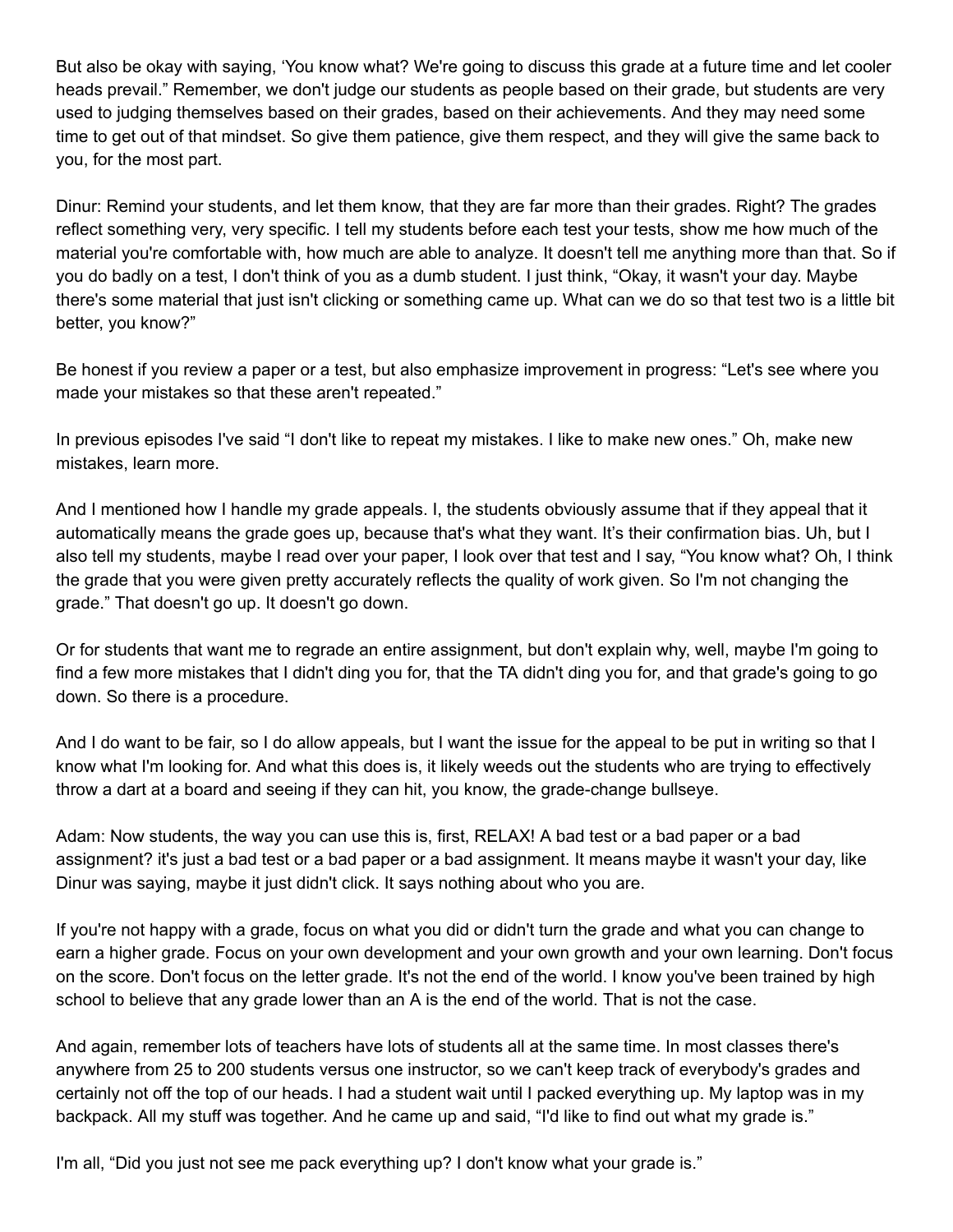But also be okay with saying, 'You know what? We're going to discuss this grade at a future time and let cooler heads prevail." Remember, we don't judge our students as people based on their grade, but students are very used to judging themselves based on their grades, based on their achievements. And they may need some time to get out of that mindset. So give them patience, give them respect, and they will give the same back to you, for the most part.

Dinur: Remind your students, and let them know, that they are far more than their grades. Right? The grades reflect something very, very specific. I tell my students before each test your tests, show me how much of the material you're comfortable with, how much are able to analyze. It doesn't tell me anything more than that. So if you do badly on a test, I don't think of you as a dumb student. I just think, "Okay, it wasn't your day. Maybe there's some material that just isn't clicking or something came up. What can we do so that test two is a little bit better, you know?"

Be honest if you review a paper or a test, but also emphasize improvement in progress: "Let's see where you made your mistakes so that these aren't repeated."

In previous episodes I've said "I don't like to repeat my mistakes. I like to make new ones." Oh, make new mistakes, learn more.

And I mentioned how I handle my grade appeals. I, the students obviously assume that if they appeal that it automatically means the grade goes up, because that's what they want. It's their confirmation bias. Uh, but I also tell my students, maybe I read over your paper, I look over that test and I say, "You know what? Oh, I think the grade that you were given pretty accurately reflects the quality of work given. So I'm not changing the grade." That doesn't go up. It doesn't go down.

Or for students that want me to regrade an entire assignment, but don't explain why, well, maybe I'm going to find a few more mistakes that I didn't ding you for, that the TA didn't ding you for, and that grade's going to go down. So there is a procedure.

And I do want to be fair, so I do allow appeals, but I want the issue for the appeal to be put in writing so that I know what I'm looking for. And what this does is, it likely weeds out the students who are trying to effectively throw a dart at a board and seeing if they can hit, you know, the grade-change bullseye.

Adam: Now students, the way you can use this is, first, RELAX! A bad test or a bad paper or a bad assignment? it's just a bad test or a bad paper or a bad assignment. It means maybe it wasn't your day, like Dinur was saying, maybe it just didn't click. It says nothing about who you are.

If you're not happy with a grade, focus on what you did or didn't turn the grade and what you can change to earn a higher grade. Focus on your own development and your own growth and your own learning. Don't focus on the score. Don't focus on the letter grade. It's not the end of the world. I know you've been trained by high school to believe that any grade lower than an A is the end of the world. That is not the case.

And again, remember lots of teachers have lots of students all at the same time. In most classes there's anywhere from 25 to 200 students versus one instructor, so we can't keep track of everybody's grades and certainly not off the top of our heads. I had a student wait until I packed everything up. My laptop was in my backpack. All my stuff was together. And he came up and said, "I'd like to find out what my grade is."

I'm all, "Did you just not see me pack everything up? I don't know what your grade is."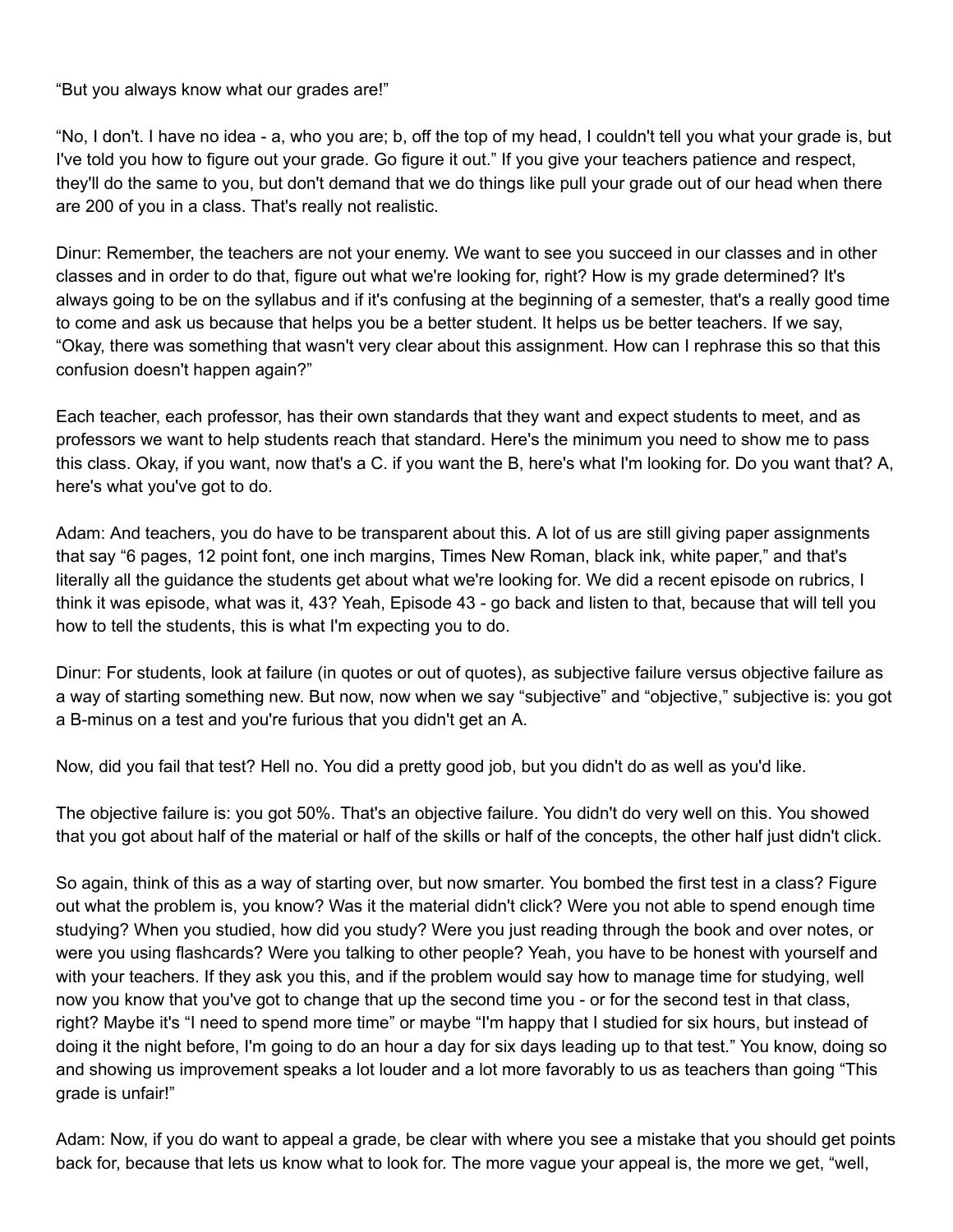"But you always know what our grades are!"

"No, I don't. I have no idea - a, who you are; b, off the top of my head, I couldn't tell you what your grade is, but I've told you how to figure out your grade. Go figure it out." If you give your teachers patience and respect, they'll do the same to you, but don't demand that we do things like pull your grade out of our head when there are 200 of you in a class. That's really not realistic.

Dinur: Remember, the teachers are not your enemy. We want to see you succeed in our classes and in other classes and in order to do that, figure out what we're looking for, right? How is my grade determined? It's always going to be on the syllabus and if it's confusing at the beginning of a semester, that's a really good time to come and ask us because that helps you be a better student. It helps us be better teachers. If we say, "Okay, there was something that wasn't very clear about this assignment. How can I rephrase this so that this confusion doesn't happen again?"

Each teacher, each professor, has their own standards that they want and expect students to meet, and as professors we want to help students reach that standard. Here's the minimum you need to show me to pass this class. Okay, if you want, now that's a C. if you want the B, here's what I'm looking for. Do you want that? A, here's what you've got to do.

Adam: And teachers, you do have to be transparent about this. A lot of us are still giving paper assignments that say "6 pages, 12 point font, one inch margins, Times New Roman, black ink, white paper," and that's literally all the guidance the students get about what we're looking for. We did a recent episode on rubrics, I think it was episode, what was it, 43? Yeah, Episode 43 - go back and listen to that, because that will tell you how to tell the students, this is what I'm expecting you to do.

Dinur: For students, look at failure (in quotes or out of quotes), as subjective failure versus objective failure as a way of starting something new. But now, now when we say "subjective" and "objective," subjective is: you got a B-minus on a test and you're furious that you didn't get an A.

Now, did you fail that test? Hell no. You did a pretty good job, but you didn't do as well as you'd like.

The objective failure is: you got 50%. That's an objective failure. You didn't do very well on this. You showed that you got about half of the material or half of the skills or half of the concepts, the other half just didn't click.

So again, think of this as a way of starting over, but now smarter. You bombed the first test in a class? Figure out what the problem is, you know? Was it the material didn't click? Were you not able to spend enough time studying? When you studied, how did you study? Were you just reading through the book and over notes, or were you using flashcards? Were you talking to other people? Yeah, you have to be honest with yourself and with your teachers. If they ask you this, and if the problem would say how to manage time for studying, well now you know that you've got to change that up the second time you - or for the second test in that class, right? Maybe it's "I need to spend more time" or maybe "I'm happy that I studied for six hours, but instead of doing it the night before, I'm going to do an hour a day for six days leading up to that test." You know, doing so and showing us improvement speaks a lot louder and a lot more favorably to us as teachers than going "This grade is unfair!"

Adam: Now, if you do want to appeal a grade, be clear with where you see a mistake that you should get points back for, because that lets us know what to look for. The more vague your appeal is, the more we get, "well,